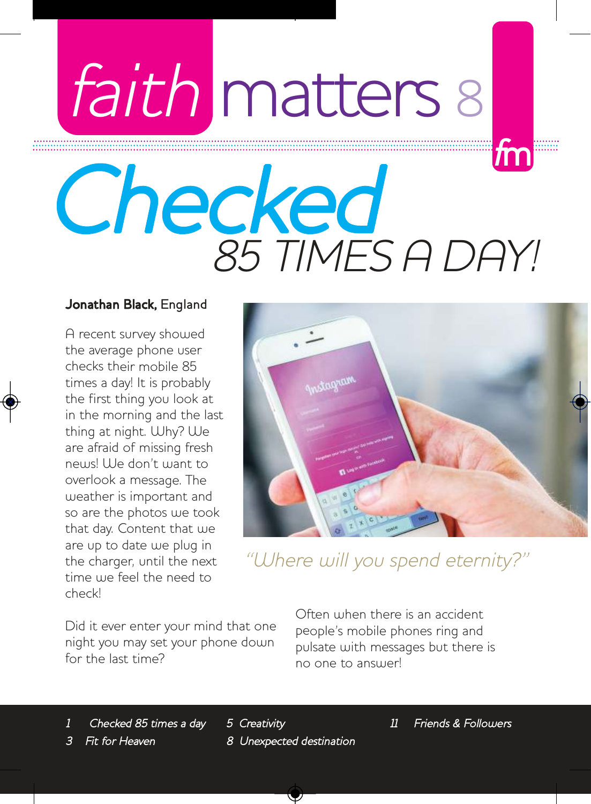# faith matters 8

## important spiritual matters for  $\mathcal{W}$ **Checked** 85 TIMES A DAY! <sup>f</sup>m

#### Jonathan Black, England

A recent survey showed the average phone user checks their mobile 85 times a day! It is probably the first thing you look at in the morning and the last thing at night. Why? We are afraid of missing fresh news! We don't want to overlook a message. The weather is important and so are the photos we took that day. Content that we are up to date we plug in the charger, until the next time we feel the need to check!



"Where will you spend eternity?"

Did it ever enter your mind that one night you may set your phone down for the last time?

Often when there is an accident people's mobile phones ring and pulsate with messages but there is no one to answer!

1 Checked 85 times a day

5 Creativity 8 Unexpected destination 11 Friends & Followers

Fit for Heaven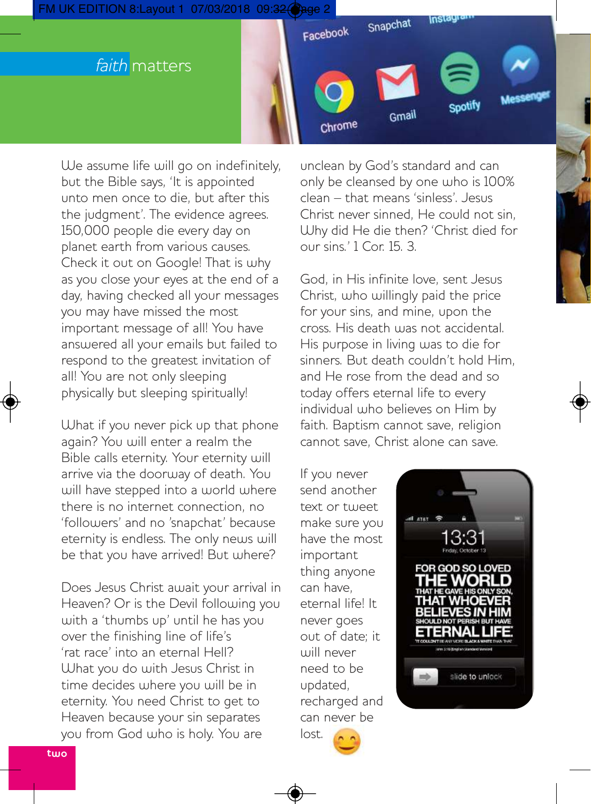



We assume life will go on indefinitely, but the Bible says, 'It is appointed unto men once to die, but after this the judgment'. The evidence agrees. 150,000 people die every day on planet earth from various causes. Check it out on Google! That is why as you close your eyes at the end of a day, having checked all your messages you may have missed the most important message of all! You have answered all your emails but failed to respond to the greatest invitation of all! You are not only sleeping physically but sleeping spiritually!

What if you never pick up that phone again? You will enter a realm the Bible calls eternity. Your eternity will arrive via the doorway of death. You will have stepped into a world where there is no internet connection, no 'followers' and no 'snapchat' because eternity is endless. The only news will be that you have arrived! But where?

Does Jesus Christ await your arrival in Heaven? Or is the Devil following you with a 'thumbs up' until he has you over the finishing line of life's 'rat race' into an eternal Hell? What you do with Jesus Christ in time decides where you will be in eternity. You need Christ to get to Heaven because your sin separates you from God who is holy. You are

unclean by God's standard and can only be cleansed by one who is 100% clean – that means 'sinless'. Jesus Christ never sinned, He could not sin, Why did He die then? 'Christ died for our sins.' 1 Cor. 15. 3.

God, in His infinite love, sent Jesus Christ, who willingly paid the price for your sins, and mine, upon the cross. His death was not accidental. His purpose in living was to die for sinners. But death couldn't hold Him, and He rose from the dead and so today offers eternal life to every individual who believes on Him by faith. Baptism cannot save, religion cannot save, Christ alone can save.

If you never send another text or tweet make sure you have the most important thing anyone can have, eternal life! It never goes out of date; it will never need to be updated, recharged and can never be lost.

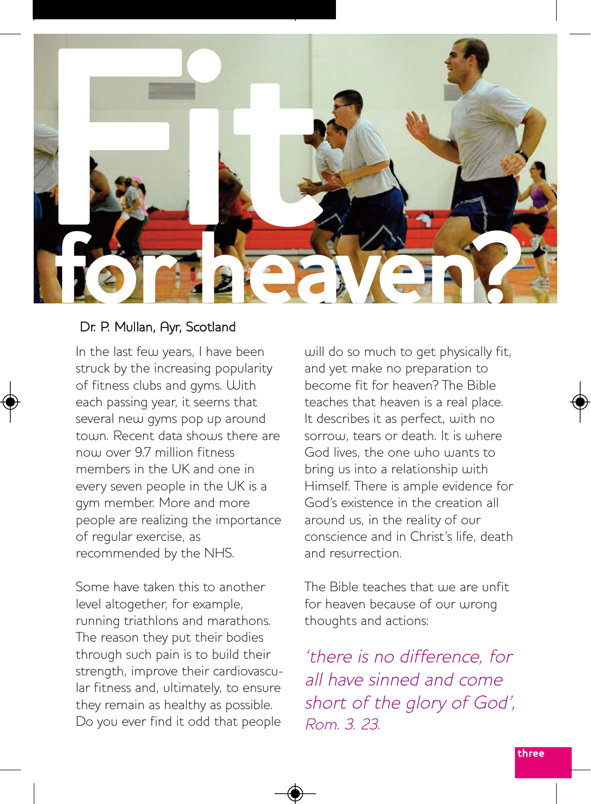

#### Dr. P. Mullan, Ayr, Scotland

In the last few years, I have been struck by the increasing popularity of fitness clubs and gyms. With each passing year, it seems that several new gyms pop up around town. Recent data shows there are now over 9.7 million fitness members in the UK and one in every seven people in the UK is a gym member. More and more people are realizing the importance of regular exercise, as recommended by the NHS.

Some have taken this to another level altogether, for example, running triathlons and marathons. The reason they put their bodies through such pain is to build their strength, improve their cardiovascular fitness and, ultimately, to ensure they remain as healthy as possible. Do you ever find it odd that people will do so much to get physically fit, and yet make no preparation to become fit for heaven? The Bible teaches that heaven is a real place. It describes it as perfect, with no sorrow, tears or death. It is where God lives, the one who wants to bring us into a relationship with Himself. There is ample evidence for God's existence in the creation all around us, in the reality of our conscience and in Christ's life, death and resurrection.

The Bible teaches that use are unfit for heaven because of our wrong thoughts and actions:

'there is no difference, for all have sinned and come short of the glory of God', Rom. 3. 23.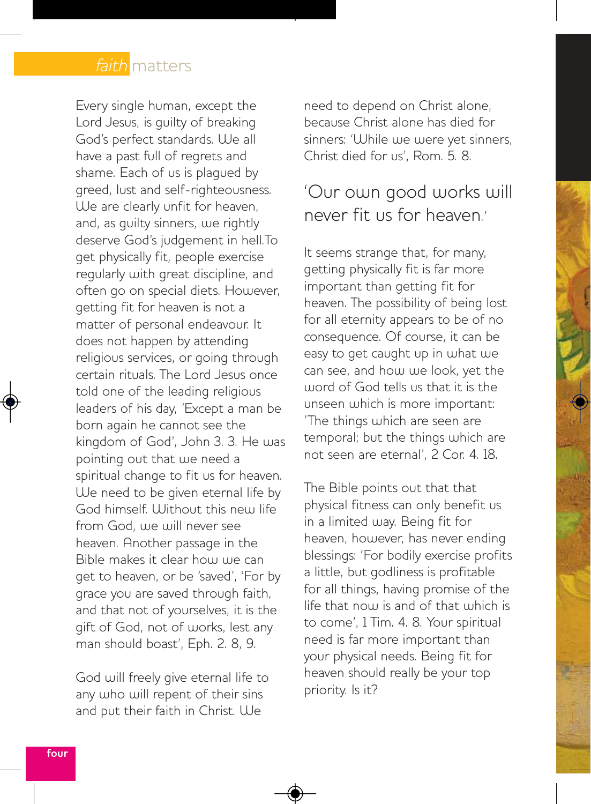#### faith matters

Every single human, except the Lord Jesus, is guilty of breaking God's perfect standards. We all have a past full of regrets and shame. Each of us is plagued by greed, lust and self-righteousness. We are clearly unfit for heaven, and, as guilty sinners, we rightly deserve God's judgement in hell.To get physically fit, people exercise regularly with great discipline, and often go on special diets. However, getting fit for heaven is not a matter of personal endeavour. It does not happen by attending religious services, or going through certain rituals. The Lord Jesus once told one of the leading religious leaders of his day, 'Except a man be born again he cannot see the kingdom of God', John 3. 3. He was pointing out that we need a spiritual change to fit us for heaven. We need to be given eternal life by God himself. Without this new life from God, we will never see heaven. Another passage in the Bible makes it clear how we can get to heaven, or be 'saved', 'For by grace you are saved through faith, and that not of yourselves, it is the gift of God, not of works, lest any man should boast', Eph. 2. 8, 9.

God will freely give eternal life to any who will repent of their sins and put their faith in Christ. We

need to depend on Christ alone, because Christ alone has died for sinners: 'While we were yet sinners, Christ died for us', Rom. 5. 8.

#### 'Our own good works will never fit us for heaven'

It seems strange that, for many, getting physically fit is far more important than getting fit for heaven. The possibility of being lost for all eternity appears to be of no consequence. Of course, it can be easy to get caught up in what we can see, and how we look, yet the word of God tells us that it is the unseen which is more important: 'The things which are seen are temporal; but the things which are not seen are eternal', 2 Cor. 4. 18.

The Bible points out that that physical fitness can only benefit us in a limited way. Being fit for heaven, however, has never ending blessings: 'For bodily exercise profits a little, but godliness is profitable for all things, having promise of the life that now is and of that which is to come', 1 Tim. 4. 8. Your spiritual need is far more important than your physical needs. Being fit for heaven should really be your top priority. Is it?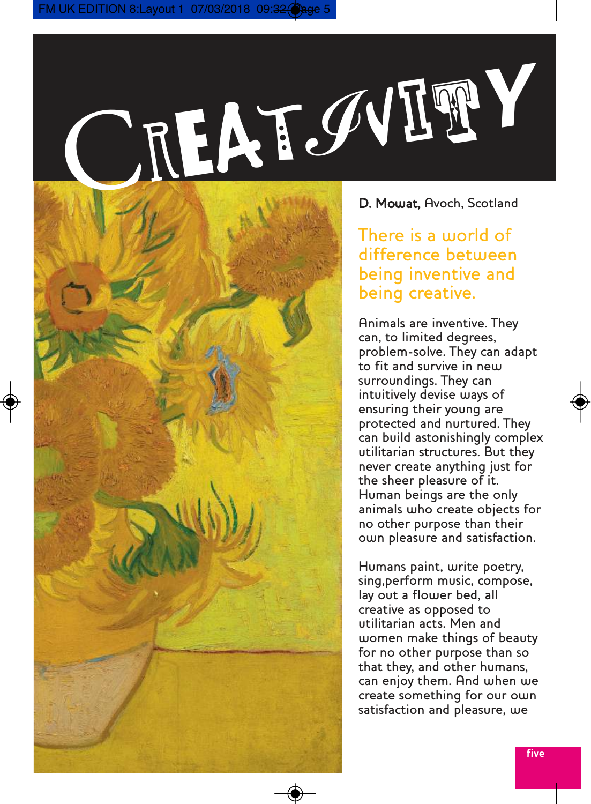CREAT. VIT**Y**



There is a world of difference between being inventive and being creative.

Animals are inventive. They can, to limited degrees, problem-solve. They can adapt to fit and survive in new surroundings. They can intuitively devise ways of ensuring their young are protected and nurtured. They can build astonishingly complex utilitarian structures. But they never create anything just for the sheer pleasure of it. Human beings are the only animals who create objects for no other purpose than their own pleasure and satisfaction.

Humans paint, write poetry, sing,perform music, compose, lay out a flower bed, all creative as opposed to utilitarian acts. Men and women make things of beauty for no other purpose than so that they, and other humans, can enjoy them. And when we create something for our own satisfaction and pleasure, we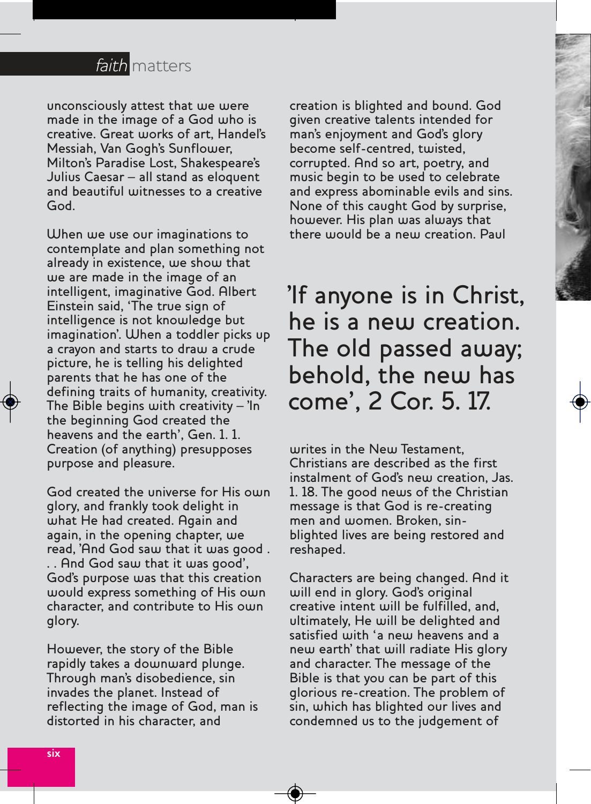

unconsciously attest that we were made in the image of a God who is creative. Great works of art, Handel's Messiah, Van Gogh's Sunflower, Milton's Paradise Lost, Shakespeare's Julius Caesar – all stand as eloquent and beautiful witnesses to a creative God.

When we use our imaginations to contemplate and plan something not already in existence, we show that we are made in the image of an intelligent, imaginative God. Albert Einstein said, 'The true sign of intelligence is not knowledge but imagination'. When a toddler picks up a crayon and starts to draw a crude picture, he is telling his delighted parents that he has one of the defining traits of humanity, creativity. The Bible begins with creativity – 'In the beginning God created the heavens and the earth', Gen. 1. 1. Creation (of anything) presupposes purpose and pleasure.

God created the universe for His own glory, and frankly took delight in what He had created. Again and again, in the opening chapter, we read, 'And God saw that it was good . . . And God saw that it was good', God's purpose was that this creation would express something of His own character, and contribute to His own glory.

However, the story of the Bible rapidly takes a downward plunge. Through man's disobedience, sin invades the planet. Instead of reflecting the image of God, man is distorted in his character, and

creation is blighted and bound. God given creative talents intended for man's enjoyment and God's glory become self-centred, twisted, corrupted. And so art, poetry, and music begin to be used to celebrate and express abominable evils and sins. None of this caught God by surprise, however. His plan was always that there would be a new creation. Paul

'If anyone is in Christ, he is a new creation. The old passed away; behold, the new has come', 2 Cor. 5. 17.

writes in the New Testament, Christians are described as the first instalment of God's new creation, Jas. 1. 18. The good news of the Christian message is that God is re-creating men and women. Broken, sinblighted lives are being restored and reshaped.

Characters are being changed. And it will end in glory. God's original creative intent will be fulfilled, and, ultimately, He will be delighted and satisfied with 'a new heavens and a new earth' that will radiate His glory and character. The message of the Bible is that you can be part of this glorious re-creation. The problem of sin, which has blighted our lives and condemned us to the judgement of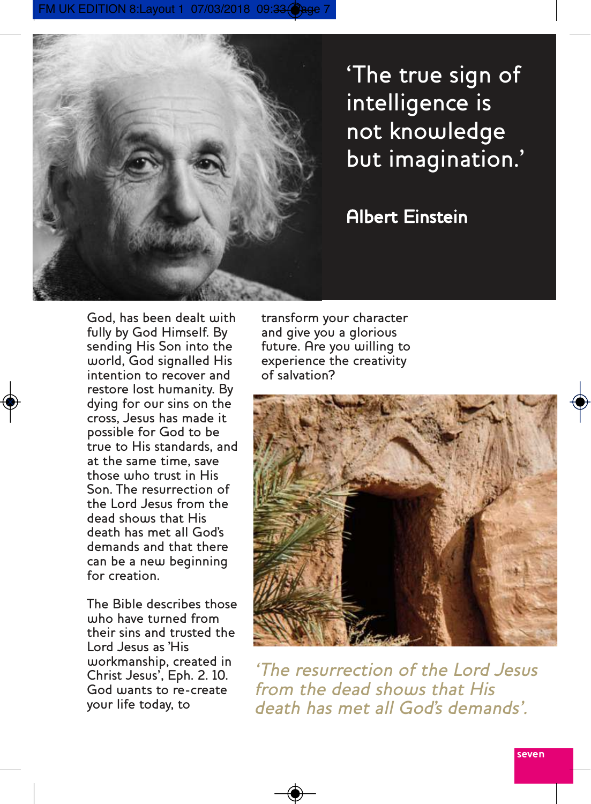FM UK EDITION 8:Layout 1 07/03/2018 09:33 (



'The true sign of intelligence is not knowledge but imagination.'

#### Albert Einstein

God, has been dealt with fully by God Himself. By sending His Son into the world, God signalled His intention to recover and restore lost humanity. By dying for our sins on the cross, Jesus has made it possible for God to be true to His standards, and at the same time, save those who trust in His Son. The resurrection of the Lord Jesus from the dead shows that His death has met all God's demands and that there can be a new beginning for creation.

The Bible describes those who have turned from their sins and trusted the Lord Jesus as 'His workmanship, created in Christ Jesus', Eph. 2. 10. God wants to re-create your life today, to

transform your character and give you a glorious future. Are you willing to experience the creativity of salvation?



'The resurrection of the Lord Jesus from the dead shows that His death has met all God's demands'.

**seven**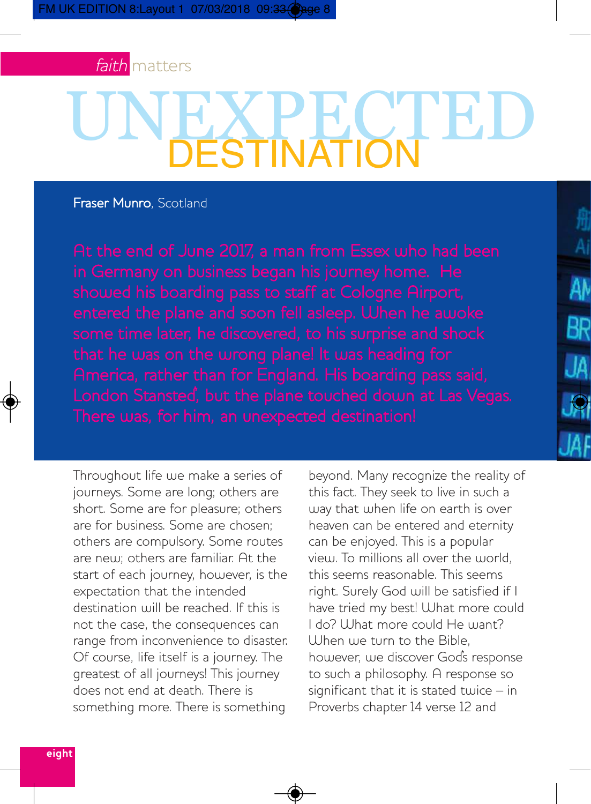

# UNEXPECTED DESTINATION

Fraser Munro, Scotland

Throughout life we make a series of journeys. Some are long; others are short. Some are for pleasure; others are for business. Some are chosen; others are compulsory. Some routes are new; others are familiar. At the start of each journey, however, is the expectation that the intended destination will be reached. If this is not the case, the consequences can range from inconvenience to disaster. Of course, life itself is a journey. The greatest of all journeys! This journey does not end at death. There is something more. There is something

beyond. Many recognize the reality of this fact. They seek to live in such a way that when life on earth is over heaven can be entered and eternity can be enjoyed. This is a popular view. To millions all over the world, this seems reasonable. This seems right. Surely God will be satisfied if I have tried my best! What more could I do? What more could He want? Uhen we turn to the Bible however, we discover God's response to such a philosophy. A response so significant that it is stated twice – in Proverbs chapter 14 verse 12 and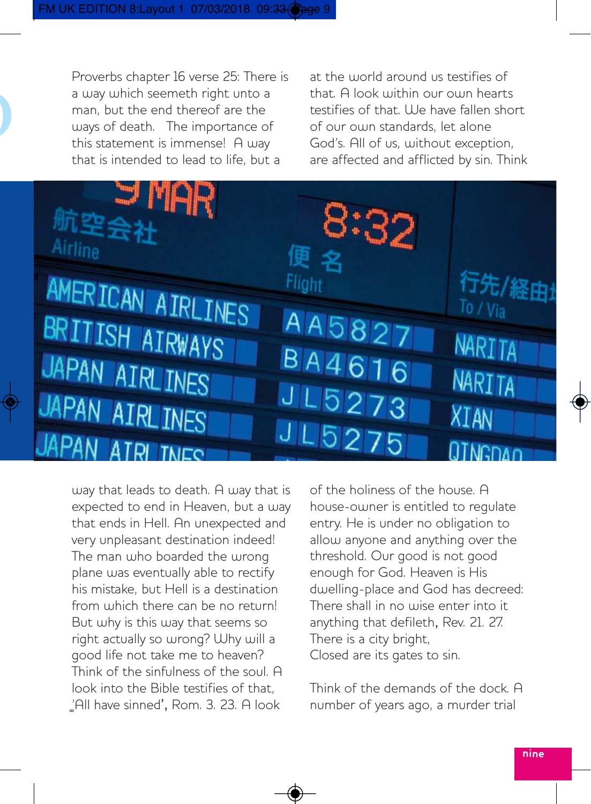Proverbs chapter 16 verse 25: There is a way which seemeth right unto a man, but the end thereof are the ways of death. The importance of this statement is immense! A way that is intended to lead to life, but a

D

at the world around us testifies of that. A look within our own hearts testifies of that. I le have fallen short of our own standards, let alone God's. All of us, without exception, are affected and afflicted by sin. Think



way that leads to death. A way that is expected to end in Heaven, but a way that ends in Hell. An unexpected and very unpleasant destination indeed! The man who boarded the wrong plane was eventually able to rectify his mistake, but Hell is a destination from which there can be no return! But why is this way that seems so right actually so wrong? Why will a good life not take me to heaven? Think of the sinfulness of the soul. A look into the Bible testifies of that, 'All have sinned', Rom. 3. 23. A look

of the holiness of the house. A house-owner is entitled to regulate entry. He is under no obligation to allow anyone and anything over the threshold. Our good is not good enough for God. Heaven is His dwelling-place and God has decreed: There shall in no wise enter into it anything that defileth, Rev. 21. 27. There is a city bright, Closed are its gates to sin.

Think of the demands of the dock. A number of years ago, a murder trial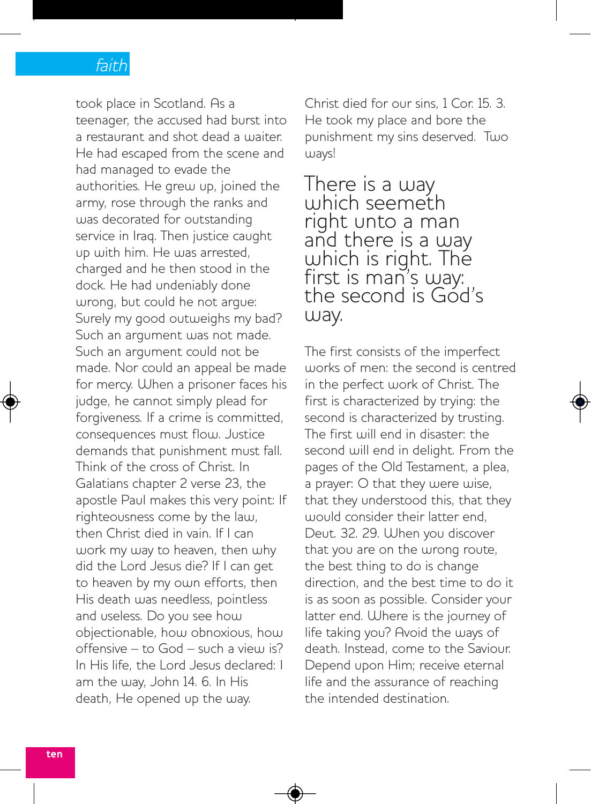#### faith

took place in Scotland. As a teenager, the accused had burst into a restaurant and shot dead a waiter. He had escaped from the scene and had managed to evade the authorities. He grew up, joined the army, rose through the ranks and was decorated for outstanding service in Iraq. Then justice caught up with him. He was arrested, charged and he then stood in the dock. He had undeniably done wrong, but could he not argue: Surely my good outweighs my bad? Such an argument was not made. Such an argument could not be made. Nor could an appeal be made for mercy. When a prisoner faces his judge, he cannot simply plead for forgiveness. If a crime is committed, consequences must flow. Justice demands that punishment must fall. Think of the cross of Christ. In Galatians chapter 2 verse 23, the apostle Paul makes this very point: If righteousness come by the law, then Christ died in vain. If I can work my way to heaven, then why did the Lord Jesus die? If I can get to heaven by my own efforts, then His death was needless, pointless and useless. Do you see how objectionable, how obnoxious, how offensive – to God – such a view is? In His life, the Lord Jesus declared: I am the way, John 14. 6. In His death, He opened up the way.

Christ died for our sins, 1 Cor. 15. 3. He took my place and bore the punishment my sins deserved. Two ways!

There is a way which seemeth right unto a man and there is a way which is right. The first is man's way: the second is Gód's way.

The first consists of the imperfect works of men: the second is centred in the perfect work of Christ. The first is characterized by trying: the second is characterized by trusting. The first will end in disaster: the second will end in delight. From the pages of the Old Testament, a plea, a prayer: O that they were wise, that they understood this, that they would consider their latter end, Deut. 32. 29. When you discover that you are on the wrong route, the best thing to do is change direction, and the best time to do it is as soon as possible. Consider your latter end. Where is the journey of life taking you? Avoid the ways of death. Instead, come to the Saviour. Depend upon Him; receive eternal life and the assurance of reaching the intended destination.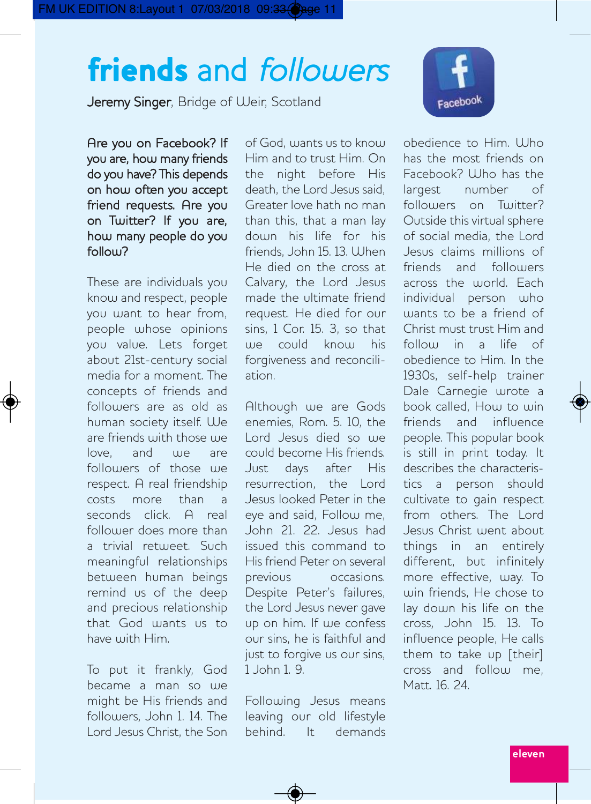### **friends** and followers

Jeremy Singer, Bridge of Weir, Scotland



Are you on Facebook? If you are, how many friends do you have? This depends on how often you accept friend requests. Are you on Twitter? If you are, how many people do you follow?

These are individuals you know and respect, people you want to hear from, people whose opinions you value. Lets forget about 21st-century social media for a moment. The concepts of friends and followers are as old as human society itself. We are friends with those we  $low$ e and  $un$  are followers of those we respect. A real friendship costs more than a seconds click. A real follower does more than a trivial retweet. Such meaningful relationships between human beings remind us of the deep and precious relationship that God wants us to have with Him.

To put it frankly, God became a man so we might be His friends and followers, John 1. 14. The Lord Jesus Christ, the Son of God, wants us to know Him and to trust Him. On the night before His death, the Lord Jesus said, Greater love hath no man than this, that a man lay down his life for his friends, John 15, 13. Ulhen He died on the cross at Calvary, the Lord Jesus made the ultimate friend request. He died for our sins, 1 Cor. 15. 3, so that we could know his forgiveness and reconciliation.

Although we are Gods enemies, Rom. 5. 10, the Lord Jesus died so we could become His friends. Just days after His resurrection, the Lord Jesus looked Peter in the eye and said, Follow me, John 21. 22. Jesus had issued this command to His friend Peter on several previous occasions. Despite Peter's failures, the Lord Jesus never gave up on him. If we confess our sins, he is faithful and just to forgive us our sins, 1 John 1. 9.

Following Jesus means leaving our old lifestyle behind. It demands obedience to Him. Ulho has the most friends on Facebook? Who has the largest number of followers on Twitter? Outside this virtual sphere of social media, the Lord Jesus claims millions of friends and followers across the world. Each individual person who wants to be a friend of Christ must trust Him and follow in a life of obedience to Him. In the 1930s, self-help trainer Dale Carnegie wrote a book called, How to win friends and influence people. This popular book is still in print today. It describes the characteristics a person should cultivate to gain respect from others. The Lord Jesus Christ went about things in an entirely different, but infinitely more effective, way. To win friends, He chose to lay down his life on the cross, John 15. 13. To influence people, He calls them to take up [their] cross and follow me, Matt. 16. 24.